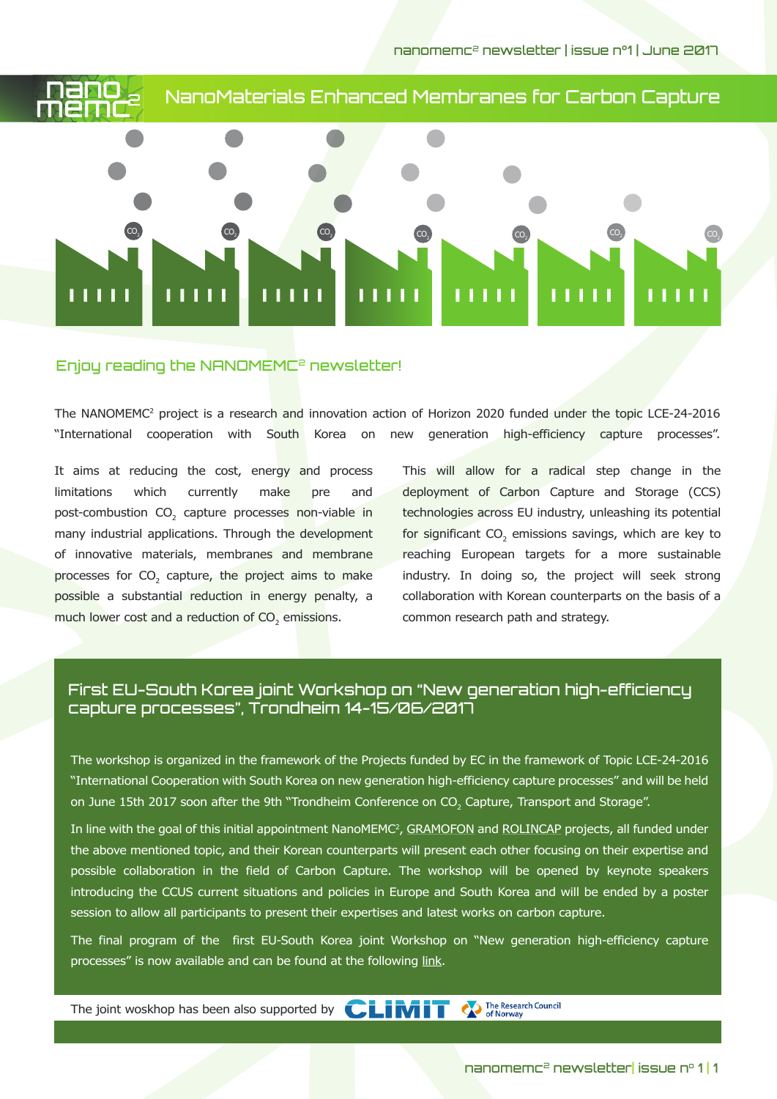nanomemc2 newsletter | issue n°1 | June 2017



## Enjoy reading the NANOMEMC2 newsletter!

The NANOMEMC2 project is a research and innovation action of Horizon 2020 funded under the topic LCE-24-2016 "International cooperation with South Korea on new generation high-efficiency capture processes".

It aims at reducing the cost, energy and process limitations which currently make pre and post-combustion CO<sub>2</sub> capture processes non-viable in many industrial applications. Through the development of innovative materials, membranes and membrane processes for  $CO<sub>2</sub>$  capture, the project aims to make possible a substantial reduction in energy penalty, a much lower cost and a reduction of  $\mathsf{CO}_2$  emissions.

This will allow for a radical step change in the deployment of Carbon Capture and Storage (CCS) technologies across EU industry, unleashing its potential for significant  $\mathsf{CO}_2$  emissions savings, which are key to reaching European targets for a more sustainable industry. In doing so, the project will seek strong collaboration with Korean counterparts on the basis of a common research path and strategy.

# First EU-South Korea joint Workshop on "New generation high-efficiency capture processes", Trondheim 14-15/06/2017

The workshop is organized in the framework of the Projects funded by EC in the framework of Topic LCE-24-2016 "International Cooperation with South Korea on new generation high-efficiency capture processes" and will be held on June 15th 2017 soon after the 9th "Trondheim Conference on CO<sub>2</sub> Capture, Transport and Storage".

In line with the goal of this initial appointment NanoMEMC<sup>2</sup>, <u>GRAMOFON</u> and <u>ROLINCAP</u> projects, all funded under the above mentioned topic, and their Korean counterparts will present each other focusing on their expertise and possible collaboration in the field of Carbon Capture. The workshop will be opened by keynote speakers introducing the CCUS current situations and policies in Europe and South Korea and will be ended by a poster session to allow all participants to present their expertises and latest works on carbon capture.

The final program of the first EU-South Korea joint Workshop on "New generation high-efficiency capture processes" is now available and can be found at the following link.

The Research Council<br>of Norway The joint woskhop has been also supported by  $\mathbf{CLINIT}$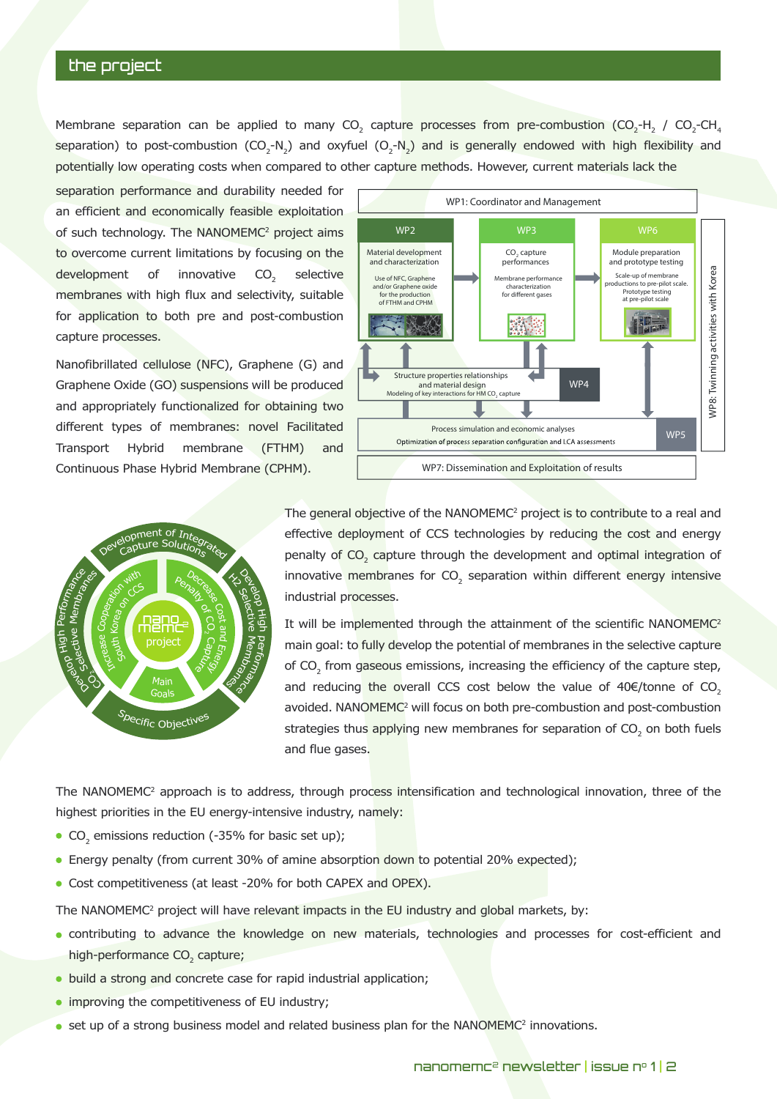## the project

Membrane separation can be applied to many CO<sub>2</sub> capture processes from pre-combustion (CO<sub>2</sub>-H<sub>2</sub> / CO<sub>2</sub>-CH<sub>4</sub> separation) to post-combustion (CO<sub>2</sub>-N<sub>2</sub>) and oxyfuel (O<sub>2</sub>-N<sub>2</sub>) and is generally endowed with high flexibility and potentially low operating costs when compared to other capture methods. However, current materials lack the

separation performance and durability needed for an efficient and economically feasible exploitation of such technology. The NANOMEMC<sup>2</sup> project aims to overcome current limitations by focusing on the development of innovative  $CO<sub>2</sub>$  selective membranes with high flux and selectivity, suitable for application to both pre and post-combustion capture processes.

Nanofibrillated cellulose (NFC), Graphene (G) and Graphene Oxide (GO) suspensions will be produced and appropriately functionalized for obtaining two different types of membranes: novel Facilitated Transport Hybrid membrane (FTHM) and Continuous Phase Hybrid Membrane (CPHM).



**WP1: Coordinator and Management WP2 WP3 WP6 Material development Module preparation** CO<sub>2</sub> capture **and characterization and prototype testing performances** WP8: Twinning activities with Korea **WP8: Twinning activities with Korea** Use of NFC, Graphene Membrane performance Scale-up of membrane productions to pre-pilot scale. and/or Graphene oxide characterization for different gases Prototype testing at pre-pilot scale for the production of FTHM and CPHM **The Second** 瑶 **Structure properties relationships WP4** and material design<br>Modeling of key interactions for HM CO<sub>2</sub> capture **Process simulation and economic analyses WP5** Optimization of process separation configuration and LCA assessments **WP7: Dissemination and Exploitation of results**

The general objective of the NANOMEMC<sup>2</sup> project is to contribute to a real and effective deployment of CCS technologies by reducing the cost and energy penalty of  $CO_2$  capture through the development and optimal integration of innovative membranes for CO<sub>2</sub> separation within different energy intensive industrial processes.

It will be implemented through the attainment of the scientific NANOMEMC<sup>2</sup> main goal: to fully develop the potential of membranes in the selective capture of  $CO_2$  from gaseous emissions, increasing the efficiency of the capture step, and reducing the overall CCS cost below the value of  $40 \in /$  tonne of CO<sub>2</sub> avoided. NANOMEMC<sup>2</sup> will focus on both pre-combustion and post-combustion strategies thus applying new membranes for separation of CO<sub>2</sub> on both fuels and flue gases.

The NANOMEMC<sup>2</sup> approach is to address, through process intensification and technological innovation, three of the highest priorities in the EU energy-intensive industry, namely:

- $\mathrm{CO}_2$  emissions reduction (-35% for basic set up);
- Energy penalty (from current 30% of amine absorption down to potential 20% expected);
- Cost competitiveness (at least -20% for both CAPEX and OPEX).

The NANOMEMC2 project will have relevant impacts in the EU industry and global markets, by:

- contributing to advance the knowledge on new materials, technologies and processes for cost-efficient and high-performance CO<sub>2</sub> capture;
- build a strong and concrete case for rapid industrial application;
- improving the competitiveness of EU industry;
- set up of a strong business model and related business plan for the  $\mathsf{NANOMEMC}^2$  innovations.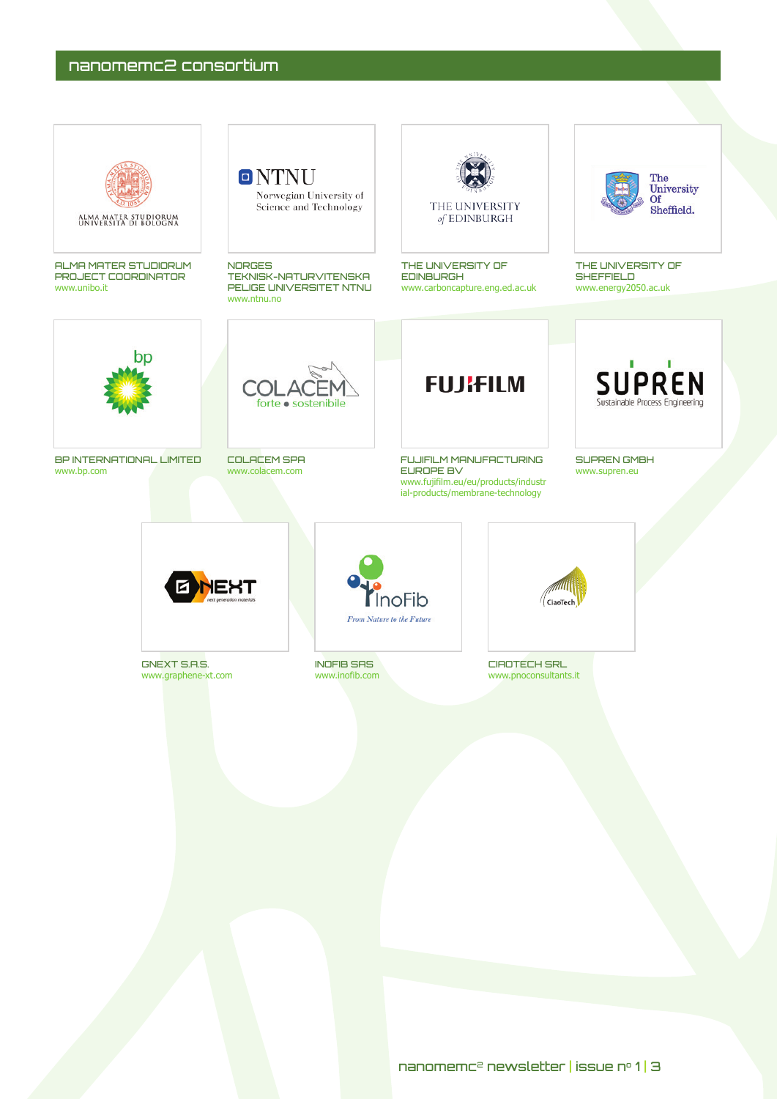# nanomemc2 consortium

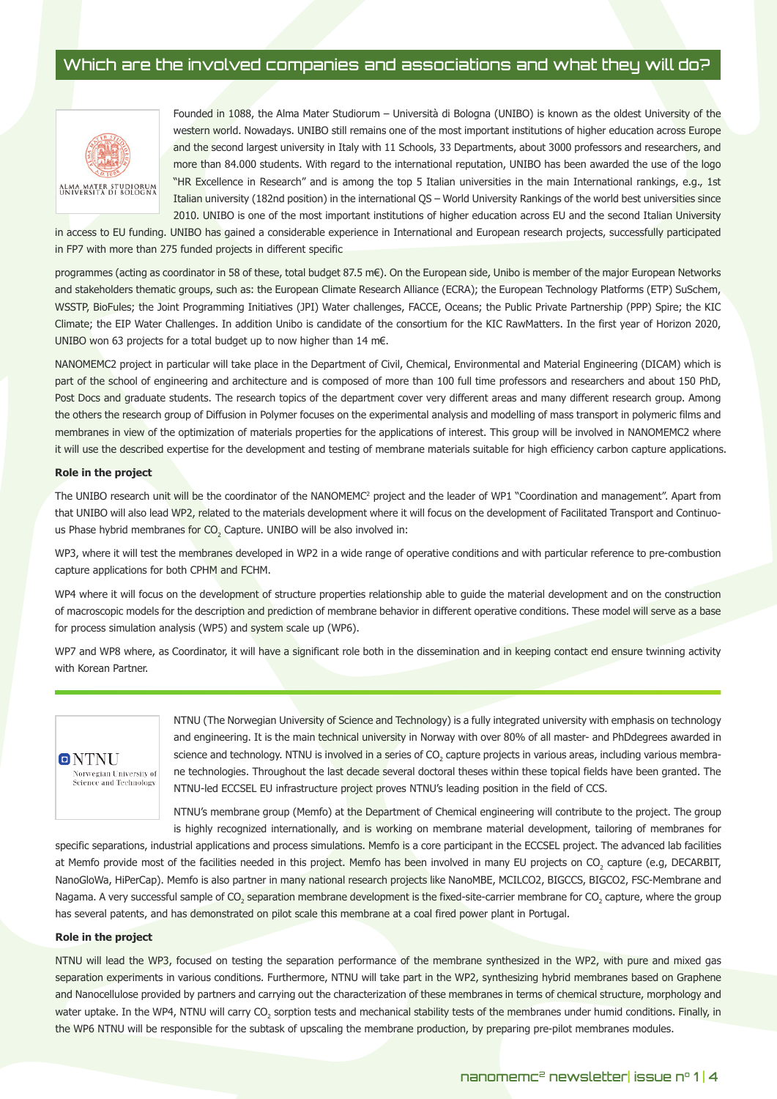## Which are the involved companies and associations and what they will do?



Founded in 1088, the Alma Mater Studiorum – Università di Bologna (UNIBO) is known as the oldest University of the western world. Nowadays. UNIBO still remains one of the most important institutions of higher education across Europe and the second largest university in Italy with 11 Schools, 33 Departments, about 3000 professors and researchers, and more than 84.000 students. With regard to the international reputation, UNIBO has been awarded the use of the logo "HR Excellence in Research" and is among the top 5 Italian universities in the main International rankings, e.g., 1st Italian university (182nd position) in the international QS – World University Rankings of the world best universities since 2010. UNIBO is one of the most important institutions of higher education across EU and the second Italian University

in access to EU funding. UNIBO has gained a considerable experience in International and European research projects, successfully participated in FP7 with more than 275 funded projects in different specific

programmes (acting as coordinator in 58 of these, total budget 87.5 m€). On the European side, Unibo is member of the major European Networks and stakeholders thematic groups, such as: the European Climate Research Alliance (ECRA); the European Technology Platforms (ETP) SuSchem, WSSTP, BioFules; the Joint Programming Initiatives (JPI) Water challenges, FACCE, Oceans; the Public Private Partnership (PPP) Spire; the KIC Climate; the EIP Water Challenges. In addition Unibo is candidate of the consortium for the KIC RawMatters. In the first year of Horizon 2020, UNIBO won 63 projects for a total budget up to now higher than 14 m€.

NANOMEMC2 project in particular will take place in the Department of Civil, Chemical, Environmental and Material Engineering (DICAM) which is part of the school of engineering and architecture and is composed of more than 100 full time professors and researchers and about 150 PhD, Post Docs and graduate students. The research topics of the department cover very different areas and many different research group. Among the others the research group of Diffusion in Polymer focuses on the experimental analysis and modelling of mass transport in polymeric films and membranes in view of the optimization of materials properties for the applications of interest. This group will be involved in NANOMEMC2 where it will use the described expertise for the development and testing of membrane materials suitable for high efficiency carbon capture applications.

#### **Role in the project**

The UNIBO research unit will be the coordinator of the NANOMEMC2 project and the leader of WP1 "Coordination and management". Apart from that UNIBO will also lead WP2, related to the materials development where it will focus on the development of Facilitated Transport and Continuous Phase hybrid membranes for  $\mathsf{CO}_2$  Capture. UNIBO will be also involved in:

WP3, where it will test the membranes developed in WP2 in a wide range of operative conditions and with particular reference to pre-combustion capture applications for both CPHM and FCHM.

WP4 where it will focus on the development of structure properties relationship able to quide the material development and on the construction of macroscopic models for the description and prediction of membrane behavior in different operative conditions. These model will serve as a base for process simulation analysis (WP5) and system scale up (WP6).

WP7 and WP8 where, as Coordinator, it will have a significant role both in the dissemination and in keeping contact end ensure twinning activity with Korean Partner.



NTNU (The Norwegian University of Science and Technology) is a fully integrated university with emphasis on technology and engineering. It is the main technical university in Norway with over 80% of all master- and PhDdegrees awarded in science and technology. NTNU is involved in a series of CO<sub>2</sub> capture projects in various areas, including various membrane technologies. Throughout the last decade several doctoral theses within these topical fields have been granted. The NTNU-led ECCSEL EU infrastructure project proves NTNU's leading position in the field of CCS.

NTNU's membrane group (Memfo) at the Department of Chemical engineering will contribute to the project. The group is highly recognized internationally, and is working on membrane material development, tailoring of membranes for

specific separations, industrial applications and process simulations. Memfo is a core participant in the ECCSEL project. The advanced lab facilities at Memfo provide most of the facilities needed in this project. Memfo has been involved in many EU projects on CO<sub>2</sub> capture (e.g, DECARBIT, NanoGloWa, HiPerCap). Memfo is also partner in many national research projects like NanoMBE, MCILCO2, BIGCCS, BIGCO2, FSC-Membrane and Nagama. A very successful sample of CO<sub>2</sub> separation membrane development is the fixed-site-carrier membrane for CO<sub>2</sub> capture, where the group has several patents, and has demonstrated on pilot scale this membrane at a coal fired power plant in Portugal.

#### **Role in the project**

NTNU will lead the WP3, focused on testing the separation performance of the membrane synthesized in the WP2, with pure and mixed gas separation experiments in various conditions. Furthermore, NTNU will take part in the WP2, synthesizing hybrid membranes based on Graphene and Nanocellulose provided by partners and carrying out the characterization of these membranes in terms of chemical structure, morphology and water uptake. In the WP4, NTNU will carry CO<sub>2</sub> sorption tests and mechanical stability tests of the membranes under humid conditions. Finally, in the WP6 NTNU will be responsible for the subtask of upscaling the membrane production, by preparing pre-pilot membranes modules.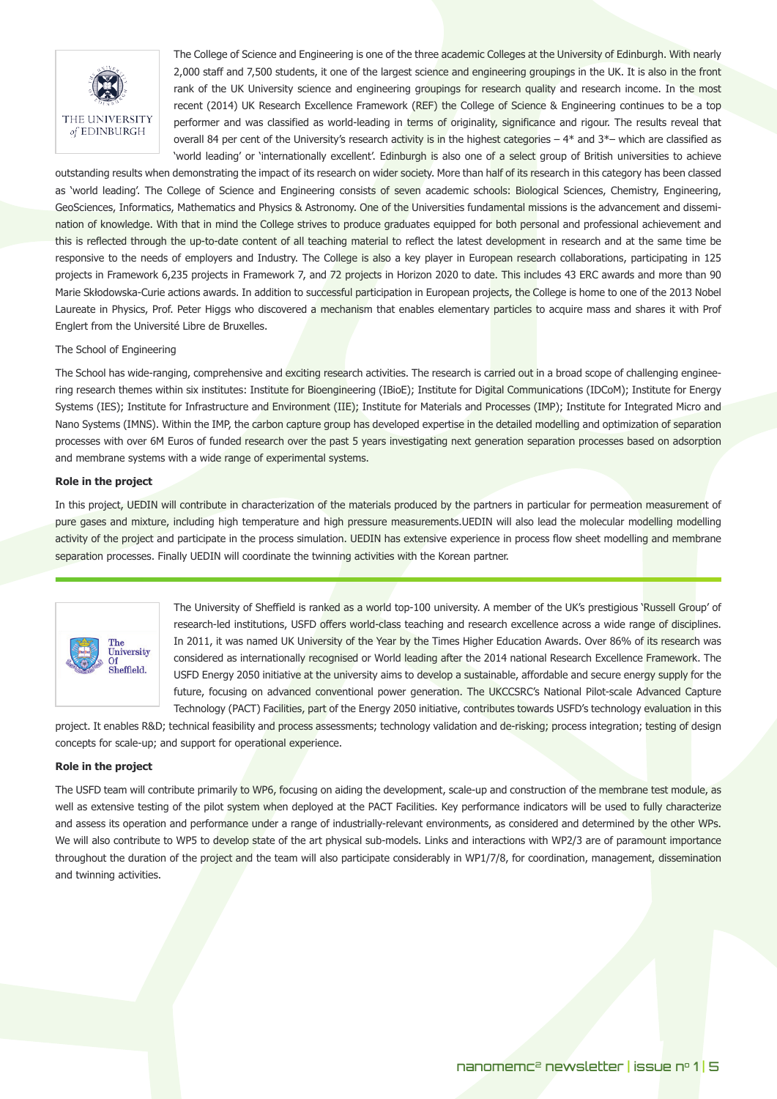

The College of Science and Engineering is one of the three academic Colleges at the University of Edinburgh. With nearly 2,000 staff and 7,500 students, it one of the largest science and engineering groupings in the UK. It is also in the front rank of the UK University science and engineering groupings for research quality and research income. In the most recent (2014) UK Research Excellence Framework (REF) the College of Science & Engineering continues to be a top performer and was classified as world-leading in terms of originality, significance and rigour. The results reveal that overall 84 per cent of the University's research activity is in the highest categories  $-4*$  and  $3*-$  which are classified as 'world leading' or 'internationally excellent'. Edinburgh is also one of a select group of British universities to achieve

outstanding results when demonstrating the impact of its research on wider society. More than half of its research in this category has been classed as 'world leading'. The College of Science and Engineering consists of seven academic schools: Biological Sciences, Chemistry, Engineering, GeoSciences, Informatics, Mathematics and Physics & Astronomy. One of the Universities fundamental missions is the advancement and dissemination of knowledge. With that in mind the College strives to produce graduates equipped for both personal and professional achievement and this is reflected through the up-to-date content of all teaching material to reflect the latest development in research and at the same time be responsive to the needs of employers and Industry. The College is also a key player in European research collaborations, participating in 125 projects in Framework 6,235 projects in Framework 7, and 72 projects in Horizon 2020 to date. This includes 43 ERC awards and more than 90 Marie Skłodowska-Curie actions awards. In addition to successful participation in European projects, the College is home to one of the 2013 Nobel Laureate in Physics, Prof. Peter Higgs who discovered a mechanism that enables elementary particles to acquire mass and shares it with Prof Englert from the Université Libre de Bruxelles.

#### The School of Engineering

The School has wide-ranging, comprehensive and exciting research activities. The research is carried out in a broad scope of challenging engineering research themes within six institutes: Institute for Bioengineering (IBioE); Institute for Digital Communications (IDCoM); Institute for Energy Systems (IES); Institute for Infrastructure and Environment (IIE); Institute for Materials and Processes (IMP); Institute for Integrated Micro and Nano Systems (IMNS). Within the IMP, the carbon capture group has developed expertise in the detailed modelling and optimization of separation processes with over 6M Euros of funded research over the past 5 years investigating next generation separation processes based on adsorption and membrane systems with a wide range of experimental systems.

#### **Role in the project**

In this project, UEDIN will contribute in characterization of the materials produced by the partners in particular for permeation measurement of pure gases and mixture, including high temperature and high pressure measurements.UEDIN will also lead the molecular modelling modelling activity of the project and participate in the process simulation. UEDIN has extensive experience in process flow sheet modelling and membrane separation processes. Finally UEDIN will coordinate the twinning activities with the Korean partner.



The University of Sheffield is ranked as a world top-100 university. A member of the UK's prestigious 'Russell Group' of research-led institutions, USFD offers world-class teaching and research excellence across a wide range of disciplines. In 2011, it was named UK University of the Year by the Times Higher Education Awards. Over 86% of its research was considered as internationally recognised or World leading after the 2014 national Research Excellence Framework. The USFD Energy 2050 initiative at the university aims to develop a sustainable, affordable and secure energy supply for the future, focusing on advanced conventional power generation. The UKCCSRC's National Pilot-scale Advanced Capture Technology (PACT) Facilities, part of the Energy 2050 initiative, contributes towards USFD's technology evaluation in this

project. It enables R&D; technical feasibility and process assessments; technology validation and de-risking; process integration; testing of design concepts for scale-up; and support for operational experience.

#### **Role in the project**

The USFD team will contribute primarily to WP6, focusing on aiding the development, scale-up and construction of the membrane test module, as well as extensive testing of the pilot system when deployed at the PACT Facilities. Key performance indicators will be used to fully characterize and assess its operation and performance under a range of industrially-relevant environments, as considered and determined by the other WPs. We will also contribute to WP5 to develop state of the art physical sub-models. Links and interactions with WP2/3 are of paramount importance throughout the duration of the project and the team will also participate considerably in WP1/7/8, for coordination, management, dissemination and twinning activities.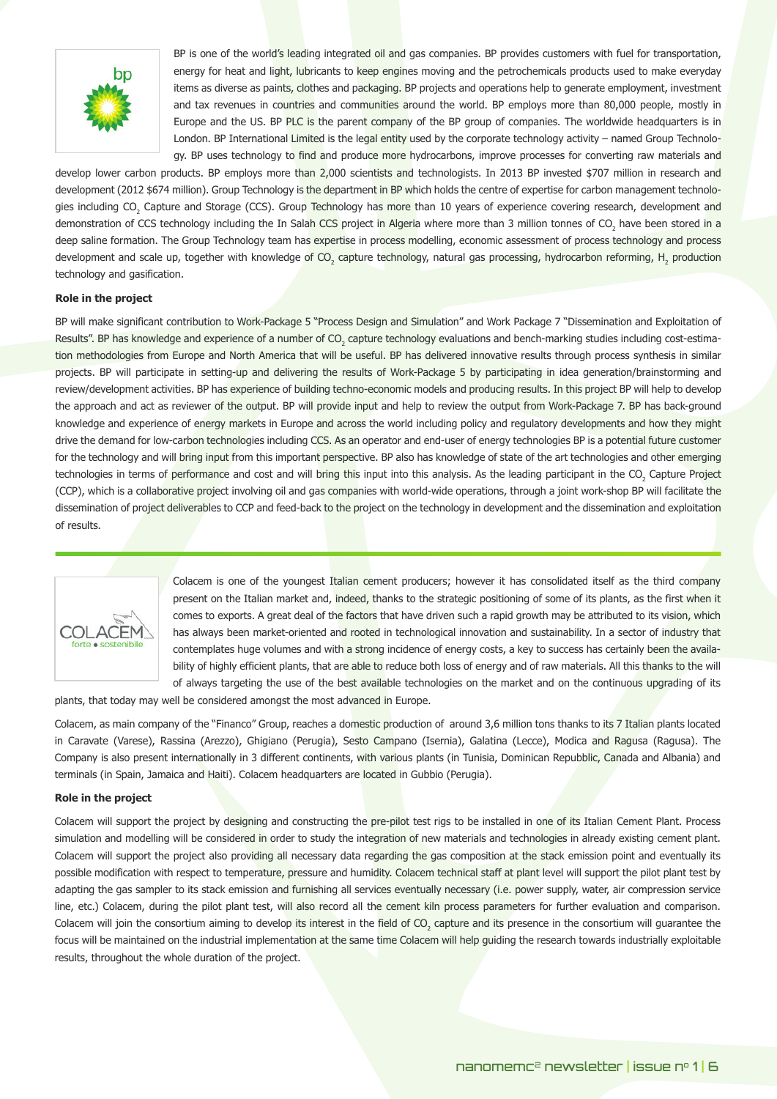

BP is one of the world's leading integrated oil and gas companies. BP provides customers with fuel for transportation, energy for heat and light, lubricants to keep engines moving and the petrochemicals products used to make everyday items as diverse as paints, clothes and packaging. BP projects and operations help to generate employment, investment and tax revenues in countries and communities around the world. BP employs more than 80,000 people, mostly in Europe and the US. BP PLC is the parent company of the BP group of companies. The worldwide headquarters is in London. BP International Limited is the legal entity used by the corporate technology activity – named Group Technology. BP uses technology to find and produce more hydrocarbons, improve processes for converting raw materials and

develop lower carbon products. BP employs more than 2,000 scientists and technologists. In 2013 BP invested \$707 million in research and development (2012 \$674 million). Group Technology is the department in BP which holds the centre of expertise for carbon management technologies including CO<sub>2</sub> Capture and Storage (CCS). Group Technology has more than 10 years of experience covering research, development and demonstration of CCS technology including the In Salah CCS project in Algeria where more than 3 million tonnes of CO<sub>2</sub> have been stored in a deep saline formation. The Group Technology team has expertise in process modelling, economic assessment of process technology and process development and scale up, together with knowledge of CO<sub>2</sub> capture technology, natural gas processing, hydrocarbon reforming, H<sub>2</sub> production technology and gasification.

## **Role in the project**

BP will make significant contribution to Work-Package 5 "Process Design and Simulation" and Work Package 7 "Dissemination and Exploitation of Results". BP has knowledge and experience of a number of CO<sub>2</sub> capture technology evaluations and bench-marking studies including cost-estimation methodologies from Europe and North America that will be useful. BP has delivered innovative results through process synthesis in similar projects. BP will participate in setting-up and delivering the results of Work-Package 5 by participating in idea generation/brainstorming and review/development activities. BP has experience of building techno-economic models and producing results. In this project BP will help to develop the approach and act as reviewer of the output. BP will provide input and help to review the output from Work-Package 7. BP has back-ground knowledge and experience of energy markets in Europe and across the world including policy and regulatory developments and how they might drive the demand for low-carbon technologies including CCS. As an operator and end-user of energy technologies BP is a potential future customer for the technology and will bring input from this important perspective. BP also has knowledge of state of the art technologies and other emerging technologies in terms of performance and cost and will bring this input into this analysis. As the leading participant in the CO<sub>2</sub> Capture Project (CCP), which is a collaborative project involving oil and gas companies with world-wide operations, through a joint work-shop BP will facilitate the dissemination of project deliverables to CCP and feed-back to the project on the technology in development and the dissemination and exploitation of results.



Colacem is one of the youngest Italian cement producers; however it has consolidated itself as the third company present on the Italian market and, indeed, thanks to the strategic positioning of some of its plants, as the first when it comes to exports. A great deal of the factors that have driven such a rapid growth may be attributed to its vision, which has always been market-oriented and rooted in technological innovation and sustainability. In a sector of industry that contemplates huge volumes and with a strong incidence of energy costs, a key to success has certainly been the availability of highly efficient plants, that are able to reduce both loss of energy and of raw materials. All this thanks to the will of always targeting the use of the best available technologies on the market and on the continuous upgrading of its

plants, that today may well be considered amongst the most advanced in Europe.

Colacem, as main company of the "Financo" Group, reaches a domestic production of around 3,6 million tons thanks to its 7 Italian plants located in Caravate (Varese), Rassina (Arezzo), Ghigiano (Perugia), Sesto Campano (Isernia), Galatina (Lecce), Modica and Ragusa (Ragusa). The Company is also present internationally in 3 different continents, with various plants (in Tunisia, Dominican Repubblic, Canada and Albania) and terminals (in Spain, Jamaica and Haiti). Colacem headquarters are located in Gubbio (Perugia).

## **Role in the project**

Colacem will support the project by designing and constructing the pre-pilot test rigs to be installed in one of its Italian Cement Plant. Process simulation and modelling will be considered in order to study the integration of new materials and technologies in already existing cement plant. Colacem will support the project also providing all necessary data regarding the gas composition at the stack emission point and eventually its possible modification with respect to temperature, pressure and humidity. Colacem technical staff at plant level will support the pilot plant test by adapting the gas sampler to its stack emission and furnishing all services eventually necessary (i.e. power supply, water, air compression service line, etc.) Colacem, during the pilot plant test, will also record all the cement kiln process parameters for further evaluation and comparison. Colacem will join the consortium aiming to develop its interest in the field of CO<sub>2</sub> capture and its presence in the consortium will guarantee the focus will be maintained on the industrial implementation at the same time Colacem will help guiding the research towards industrially exploitable results, throughout the whole duration of the project.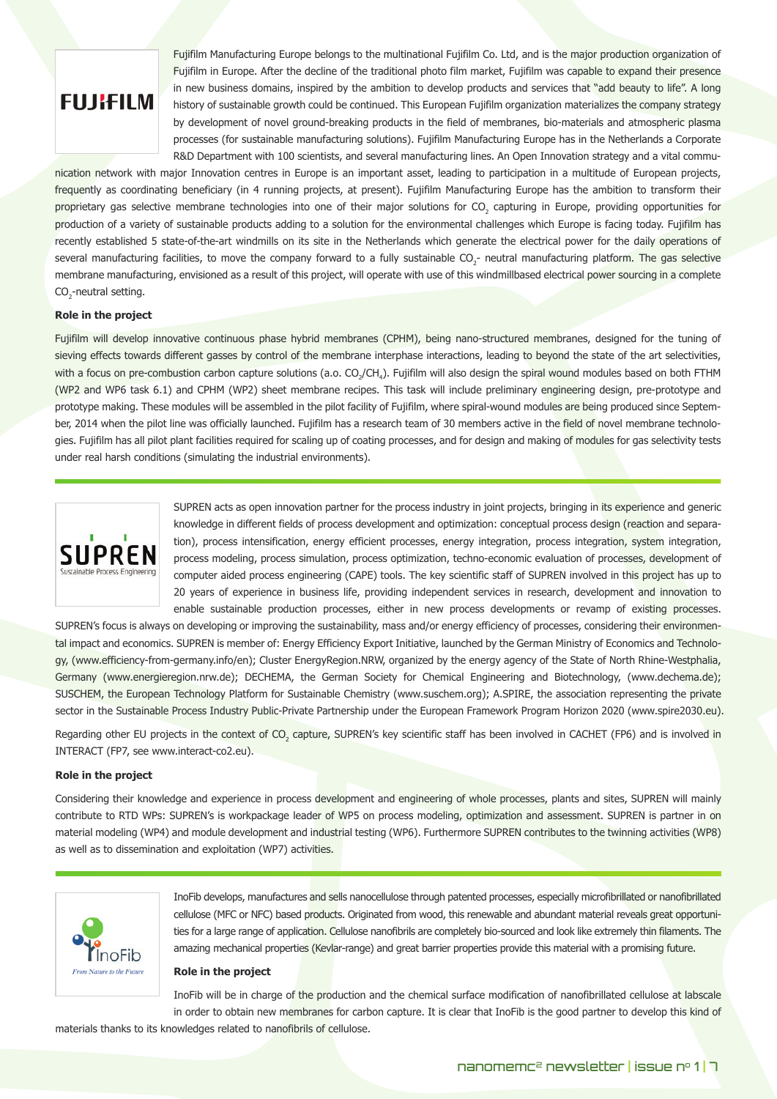

Fujifilm Manufacturing Europe belongs to the multinational Fujifilm Co. Ltd, and is the major production organization of Fujifilm in Europe. After the decline of the traditional photo film market, Fujifilm was capable to expand their presence in new business domains, inspired by the ambition to develop products and services that "add beauty to life". A long history of sustainable growth could be continued. This European Fujifilm organization materializes the company strategy by development of novel ground-breaking products in the field of membranes, bio-materials and atmospheric plasma processes (for sustainable manufacturing solutions). Fujifilm Manufacturing Europe has in the Netherlands a Corporate R&D Department with 100 scientists, and several manufacturing lines. An Open Innovation strategy and a vital commu-

nication network with major Innovation centres in Europe is an important asset, leading to participation in a multitude of European projects, frequently as coordinating beneficiary (in 4 running projects, at present). Fujifilm Manufacturing Europe has the ambition to transform their proprietary gas selective membrane technologies into one of their major solutions for CO<sub>2</sub> capturing in Europe, providing opportunities for production of a variety of sustainable products adding to a solution for the environmental challenges which Europe is facing today. Fujifilm has recently established 5 state-of-the-art windmills on its site in the Netherlands which generate the electrical power for the daily operations of several manufacturing facilities, to move the company forward to a fully sustainable CO<sub>2</sub>- neutral manufacturing platform. The gas selective membrane manufacturing, envisioned as a result of this project, will operate with use of this windmillbased electrical power sourcing in a complete  $\mathrm{CO}_2$ -neutral setting.

#### **Role in the project**

Fujifilm will develop innovative continuous phase hybrid membranes (CPHM), being nano-structured membranes, designed for the tuning of sieving effects towards different gasses by control of the membrane interphase interactions, leading to beyond the state of the art selectivities, with a focus on pre-combustion carbon capture solutions (a.o. CO<sub>2</sub>/CH<sub>4</sub>). Fujifilm will also design the spiral wound modules based on both FTHM (WP2 and WP6 task 6.1) and CPHM (WP2) sheet membrane recipes. This task will include preliminary engineering design, pre-prototype and prototype making. These modules will be assembled in the pilot facility of Fujifilm, where spiral-wound modules are being produced since September, 2014 when the pilot line was officially launched. Fujifilm has a research team of 30 members active in the field of novel membrane technologies. Fujifilm has all pilot plant facilities required for scaling up of coating processes, and for design and making of modules for gas selectivity tests under real harsh conditions (simulating the industrial environments).



SUPREN acts as open innovation partner for the process industry in joint projects, bringing in its experience and generic knowledge in different fields of process development and optimization: conceptual process design (reaction and separation), process intensification, energy efficient processes, energy integration, process integration, system integration, process modeling, process simulation, process optimization, techno-economic evaluation of processes, development of computer aided process engineering (CAPE) tools. The key scientific staff of SUPREN involved in this project has up to 20 years of experience in business life, providing independent services in research, development and innovation to enable sustainable production processes, either in new process developments or revamp of existing processes.

SUPREN's focus is always on developing or improving the sustainability, mass and/or energy efficiency of processes, considering their environmental impact and economics. SUPREN is member of: Energy Efficiency Export Initiative, launched by the German Ministry of Economics and Technology, (www.efficiency-from-germany.info/en); Cluster EnergyRegion.NRW, organized by the energy agency of the State of North Rhine-Westphalia, Germany (www.energieregion.nrw.de); DECHEMA, the German Society for Chemical Engineering and Biotechnology, (www.dechema.de); SUSCHEM, the European Technology Platform for Sustainable Chemistry (www.suschem.org); A.SPIRE, the association representing the private sector in the Sustainable Process Industry Public-Private Partnership under the European Framework Program Horizon 2020 (www.spire2030.eu).

Regarding other EU projects in the context of CO<sub>2</sub> capture, SUPREN's key scientific staff has been involved in CACHET (FP6) and is involved in INTERACT (FP7, see www.interact-co2.eu).

#### **Role in the project**

Considering their knowledge and experience in process development and engineering of whole processes, plants and sites, SUPREN will mainly contribute to RTD WPs: SUPREN's is workpackage leader of WP5 on process modeling, optimization and assessment. SUPREN is partner in on material modeling (WP4) and module development and industrial testing (WP6). Furthermore SUPREN contributes to the twinning activities (WP8) as well as to dissemination and exploitation (WP7) activities.



InoFib develops, manufactures and sells nanocellulose through patented processes, especially microfibrillated or nanofibrillated cellulose (MFC or NFC) based products. Originated from wood, this renewable and abundant material reveals great opportunities for a large range of application. Cellulose nanofibrils are completely bio-sourced and look like extremely thin filaments. The amazing mechanical properties (Kevlar-range) and great barrier properties provide this material with a promising future.

#### **Role in the project**

InoFib will be in charge of the production and the chemical surface modification of nanofibrillated cellulose at labscale in order to obtain new membranes for carbon capture. It is clear that InoFib is the good partner to develop this kind of

materials thanks to its knowledges related to nanofibrils of cellulose.